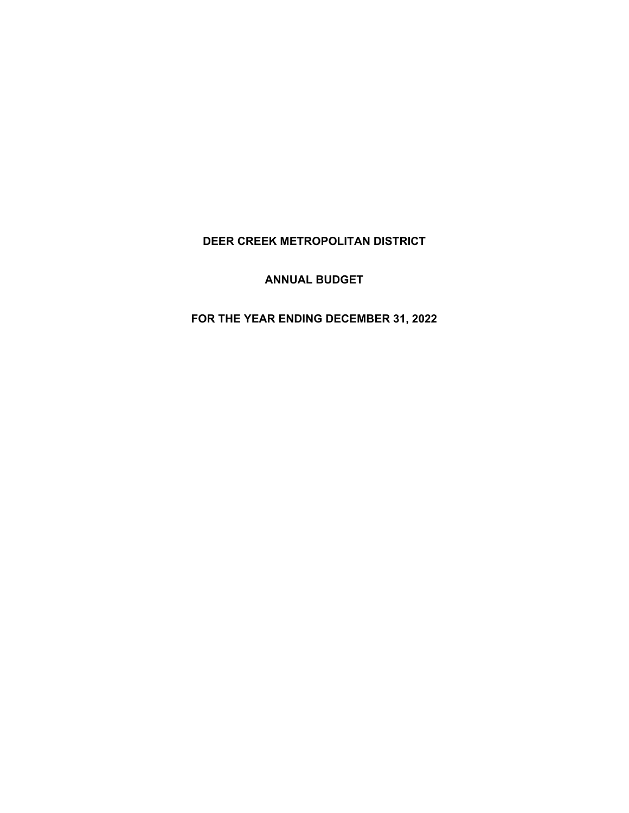# **DEER CREEK METROPOLITAN DISTRICT**

# **ANNUAL BUDGET**

# **FOR THE YEAR ENDING DECEMBER 31, 2022**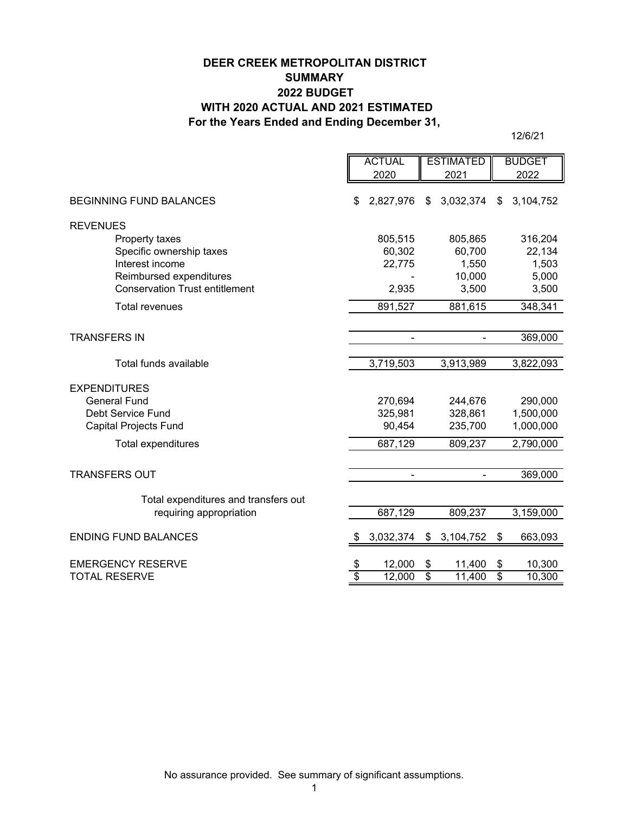# **DEER CREEK METROPOLITAN DISTRICT SUMMARY 2022 BUDGET WITH 2020 ACTUAL AND 2021 ESTIMATED For the Years Ended and Ending December 31,**

12/6/21

|                                                  |                       | <b>ACTUAL</b>    |                       | <b>ESTIMATED</b> |                       | <b>BUDGET</b>    |
|--------------------------------------------------|-----------------------|------------------|-----------------------|------------------|-----------------------|------------------|
|                                                  |                       | 2020             |                       | 2021             |                       | 2022             |
| <b>BEGINNING FUND BALANCES</b>                   |                       | 2,827,976        | \$                    | 3,032,374        | \$                    | 3,104,752        |
| <b>REVENUES</b>                                  |                       |                  |                       |                  |                       |                  |
| Property taxes                                   |                       | 805,515          |                       | 805,865          |                       | 316,204          |
| Specific ownership taxes                         |                       | 60,302           |                       | 60,700           |                       | 22,134           |
| Interest income                                  |                       | 22,775           |                       | 1,550            |                       | 1,503            |
| Reimbursed expenditures                          |                       |                  |                       | 10,000           |                       | 5,000            |
| <b>Conservation Trust entitlement</b>            |                       | 2,935            |                       | 3,500            |                       | 3,500            |
| <b>Total revenues</b>                            |                       | 891,527          |                       | 881,615          |                       | 348,341          |
|                                                  |                       |                  |                       |                  |                       |                  |
| <b>TRANSFERS IN</b>                              |                       |                  |                       |                  |                       | 369,000          |
| Total funds available                            |                       | 3,719,503        |                       | 3,913,989        |                       | 3,822,093        |
| <b>EXPENDITURES</b>                              |                       |                  |                       |                  |                       |                  |
| <b>General Fund</b>                              |                       | 270,694          |                       | 244,676          |                       | 290,000          |
| Debt Service Fund                                |                       | 325,981          |                       | 328,861          |                       | 1,500,000        |
| <b>Capital Projects Fund</b>                     |                       | 90,454           |                       | 235,700          |                       | 1,000,000        |
| Total expenditures                               |                       | 687,129          |                       | 809,237          |                       | 2,790,000        |
|                                                  |                       |                  |                       |                  |                       |                  |
| <b>TRANSFERS OUT</b>                             |                       |                  |                       |                  |                       | 369,000          |
| Total expenditures and transfers out             |                       |                  |                       |                  |                       |                  |
| requiring appropriation                          |                       | 687,129          |                       | 809,237          |                       | 3,159,000        |
| <b>ENDING FUND BALANCES</b>                      |                       | 3,032,374        | \$                    | 3,104,752        | \$                    | 663,093          |
|                                                  |                       |                  |                       |                  |                       |                  |
| <b>EMERGENCY RESERVE</b><br><b>TOTAL RESERVE</b> | \$<br>$\overline{\$}$ | 12,000<br>12,000 | \$<br>$\overline{\$}$ | 11,400<br>11,400 | \$<br>$\overline{\$}$ | 10,300<br>10,300 |
|                                                  |                       |                  |                       |                  |                       |                  |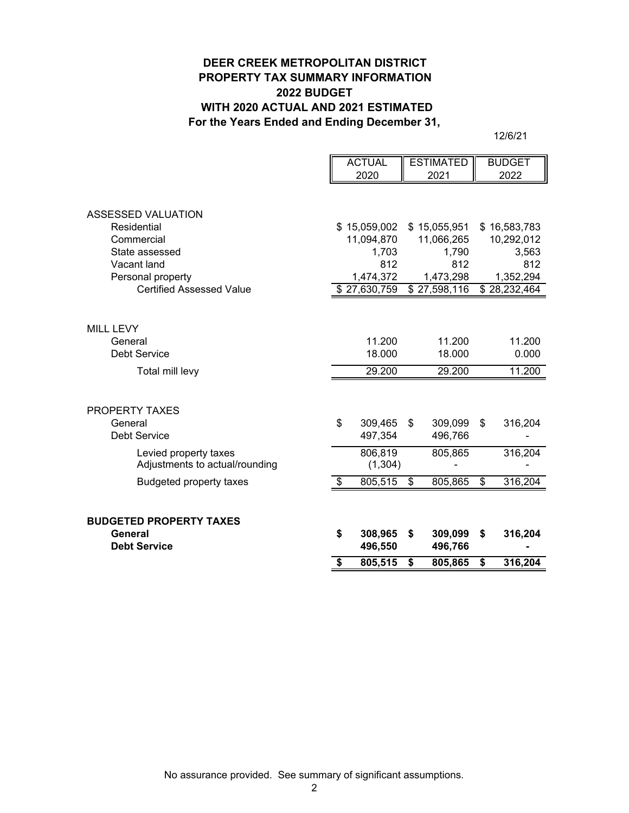# **DEER CREEK METROPOLITAN DISTRICT PROPERTY TAX SUMMARY INFORMATION 2022 BUDGET WITH 2020 ACTUAL AND 2021 ESTIMATED For the Years Ended and Ending December 31,**

12/6/21

|                                  | <b>ACTUAL</b> | <b>ESTIMATED</b> |                    |                          | <b>BUDGET</b> |
|----------------------------------|---------------|------------------|--------------------|--------------------------|---------------|
|                                  | 2020          | 2021             |                    |                          | 2022          |
|                                  |               |                  |                    |                          |               |
| ASSESSED VALUATION               |               |                  |                    |                          |               |
| Residential                      | \$15,059,002  | \$15,055,951     |                    |                          | \$16,583,783  |
| Commercial                       | 11,094,870    | 11,066,265       |                    |                          | 10,292,012    |
| State assessed                   | 1,703         |                  | 1,790              |                          | 3,563         |
| Vacant land                      | 812           |                  | 812                |                          | 812           |
| Personal property                | 1,474,372     |                  | 1,473,298          |                          | 1,352,294     |
| <b>Certified Assessed Value</b>  | \$27,630,759  | \$27,598,116     |                    |                          | \$28,232,464  |
|                                  |               |                  |                    |                          |               |
|                                  |               |                  |                    |                          |               |
| MILL LEVY                        |               |                  |                    |                          |               |
| General                          | 11.200        |                  | 11.200             |                          | 11.200        |
| <b>Debt Service</b>              | 18.000        |                  | 18.000             |                          | 0.000         |
| Total mill levy                  | 29.200        |                  | 29.200             |                          | 11.200        |
|                                  |               |                  |                    |                          |               |
|                                  |               |                  |                    |                          |               |
| <b>PROPERTY TAXES</b><br>General | \$<br>309,465 | \$               |                    |                          |               |
| <b>Debt Service</b>              | 497,354       |                  | 309,099<br>496,766 | \$                       | 316,204       |
|                                  |               |                  |                    |                          |               |
| Levied property taxes            | 806,819       |                  | 805,865            |                          | 316,204       |
| Adjustments to actual/rounding   | (1, 304)      |                  |                    |                          |               |
| <b>Budgeted property taxes</b>   | \$<br>805,515 | \$               | 805,865            | $\overline{\mathcal{S}}$ | 316,204       |
|                                  |               |                  |                    |                          |               |
|                                  |               |                  |                    |                          |               |
| <b>BUDGETED PROPERTY TAXES</b>   |               |                  |                    |                          |               |
| General                          | \$<br>308,965 | \$               | 309,099            | \$                       | 316,204       |
| <b>Debt Service</b>              | 496,550       |                  | 496,766            |                          |               |
|                                  | \$<br>805,515 | \$               | 805,865            | \$                       | 316,204       |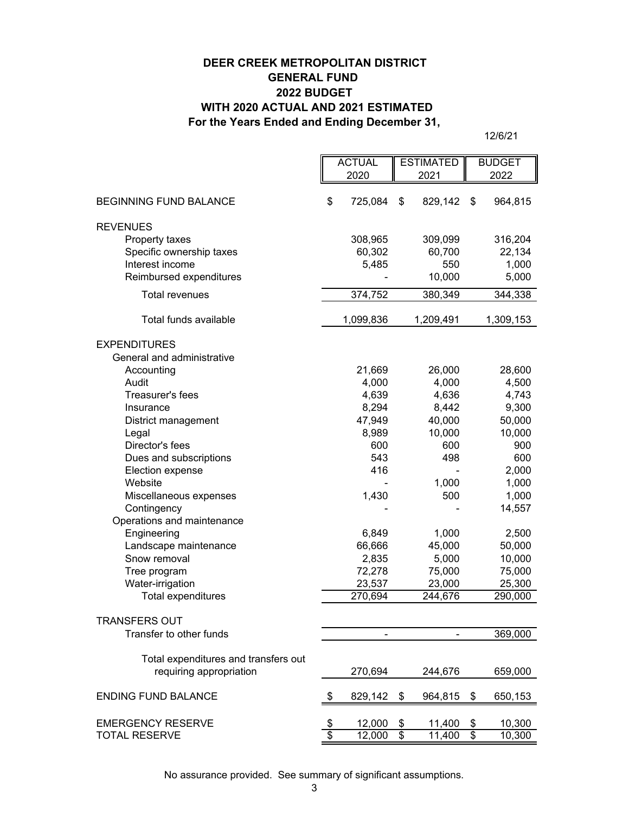# **For the Years Ended and Ending December 31, DEER CREEK METROPOLITAN DISTRICT GENERAL FUND 2022 BUDGET WITH 2020 ACTUAL AND 2021 ESTIMATED**

12/6/21

|                                      | <b>ACTUAL</b>         |           | <b>ESTIMATED</b> |           |                 | <b>BUDGET</b>    |
|--------------------------------------|-----------------------|-----------|------------------|-----------|-----------------|------------------|
|                                      |                       | 2020      |                  | 2021      |                 | 2022             |
|                                      |                       |           |                  |           |                 |                  |
| <b>BEGINNING FUND BALANCE</b>        | \$                    | 725,084   | \$               | 829,142   | \$              | 964,815          |
| <b>REVENUES</b>                      |                       |           |                  |           |                 |                  |
| Property taxes                       |                       | 308,965   |                  | 309,099   |                 | 316,204          |
| Specific ownership taxes             |                       | 60,302    |                  | 60,700    |                 | 22,134           |
| Interest income                      |                       | 5,485     |                  | 550       |                 | 1,000            |
| Reimbursed expenditures              |                       |           |                  | 10,000    |                 | 5,000            |
| <b>Total revenues</b>                |                       |           |                  |           |                 |                  |
|                                      |                       | 374,752   |                  | 380,349   |                 | 344,338          |
| Total funds available                |                       | 1,099,836 |                  | 1,209,491 |                 | 1,309,153        |
| <b>EXPENDITURES</b>                  |                       |           |                  |           |                 |                  |
| General and administrative           |                       |           |                  |           |                 |                  |
| Accounting                           |                       | 21,669    |                  | 26,000    |                 | 28,600           |
| Audit                                |                       | 4,000     |                  | 4,000     |                 | 4,500            |
| Treasurer's fees                     |                       | 4,639     |                  | 4,636     |                 | 4,743            |
| Insurance                            |                       | 8,294     |                  | 8,442     |                 | 9,300            |
| District management                  |                       | 47,949    |                  | 40,000    |                 | 50,000           |
| Legal                                |                       | 8,989     |                  | 10,000    |                 | 10,000           |
| Director's fees                      |                       | 600       |                  | 600       |                 | 900              |
| Dues and subscriptions               |                       | 543       |                  | 498       |                 | 600              |
| Election expense                     |                       | 416       |                  |           |                 | 2,000            |
| Website                              |                       |           |                  | 1,000     |                 | 1,000            |
|                                      |                       |           |                  | 500       |                 | 1,000            |
| Miscellaneous expenses               |                       | 1,430     |                  |           |                 |                  |
| Contingency                          |                       |           |                  |           |                 | 14,557           |
| Operations and maintenance           |                       |           |                  |           |                 |                  |
| Engineering                          |                       | 6,849     |                  | 1,000     |                 | 2,500            |
| Landscape maintenance                |                       | 66,666    |                  | 45,000    |                 | 50,000           |
| Snow removal                         |                       | 2,835     |                  | 5,000     |                 | 10,000           |
| Tree program                         |                       | 72,278    |                  | 75,000    |                 | 75,000           |
| Water-irrigation                     |                       | 23,537    |                  | 23,000    |                 | 25,300           |
| Total expenditures                   |                       | 270,694   |                  | 244,676   |                 | 290,000          |
| <b>TRANSFERS OUT</b>                 |                       |           |                  |           |                 |                  |
| Transfer to other funds              |                       |           |                  |           |                 | 369,000          |
|                                      |                       |           |                  |           |                 |                  |
| Total expenditures and transfers out |                       |           |                  |           |                 |                  |
| requiring appropriation              |                       | 270,694   |                  | 244,676   |                 | 659,000          |
| <b>ENDING FUND BALANCE</b>           | \$                    | 829,142   | \$               | 964,815   | \$              | 650,153          |
| <b>EMERGENCY RESERVE</b>             |                       | 12,000    | \$               | 11,400    | \$              |                  |
| <b>TOTAL RESERVE</b>                 | \$<br>$\overline{\$}$ | 12,000    | \$               | 11,400    | $\overline{\$}$ | 10,300<br>10,300 |
|                                      |                       |           |                  |           |                 |                  |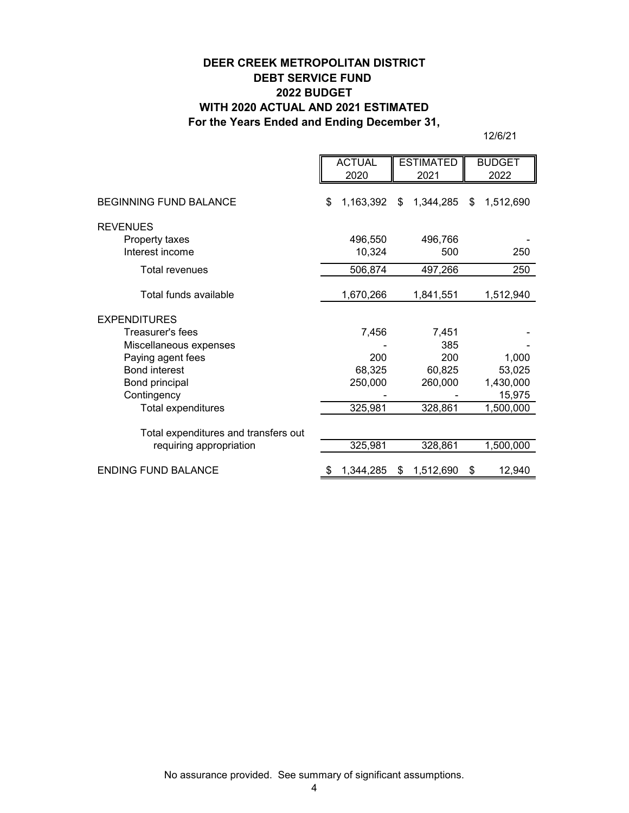# **DEER CREEK METROPOLITAN DISTRICT DEBT SERVICE FUND 2022 BUDGET WITH 2020 ACTUAL AND 2021 ESTIMATED For the Years Ended and Ending December 31,**

12/6/21

|                                      | <b>ACTUAL</b> |           | <b>ESTIMATED</b> |           | <b>BUDGET</b>   |
|--------------------------------------|---------------|-----------|------------------|-----------|-----------------|
|                                      |               | 2020      |                  | 2021      | 2022            |
| <b>BEGINNING FUND BALANCE</b>        | \$            | 1,163,392 | \$               | 1,344,285 | \$<br>1,512,690 |
| <b>REVENUES</b>                      |               |           |                  |           |                 |
| Property taxes                       |               | 496,550   |                  | 496,766   |                 |
| Interest income                      |               | 10,324    |                  | 500       | 250             |
| <b>Total revenues</b>                |               | 506,874   |                  | 497,266   | 250             |
| Total funds available                |               | 1,670,266 |                  | 1,841,551 | 1,512,940       |
| <b>EXPENDITURES</b>                  |               |           |                  |           |                 |
| Treasurer's fees                     |               | 7,456     |                  | 7,451     |                 |
| Miscellaneous expenses               |               |           |                  | 385       |                 |
| Paying agent fees                    |               | 200       |                  | 200       | 1,000           |
| <b>Bond interest</b>                 |               | 68,325    |                  | 60,825    | 53,025          |
| Bond principal                       |               | 250,000   |                  | 260,000   | 1,430,000       |
| Contingency                          |               |           |                  |           | 15,975          |
| Total expenditures                   |               | 325,981   |                  | 328,861   | 1,500,000       |
| Total expenditures and transfers out |               |           |                  |           |                 |
| requiring appropriation              |               | 325,981   |                  | 328,861   | 1,500,000       |
| <b>ENDING FUND BALANCE</b>           |               | 1,344,285 | S.               | 1,512,690 | \$<br>12,940    |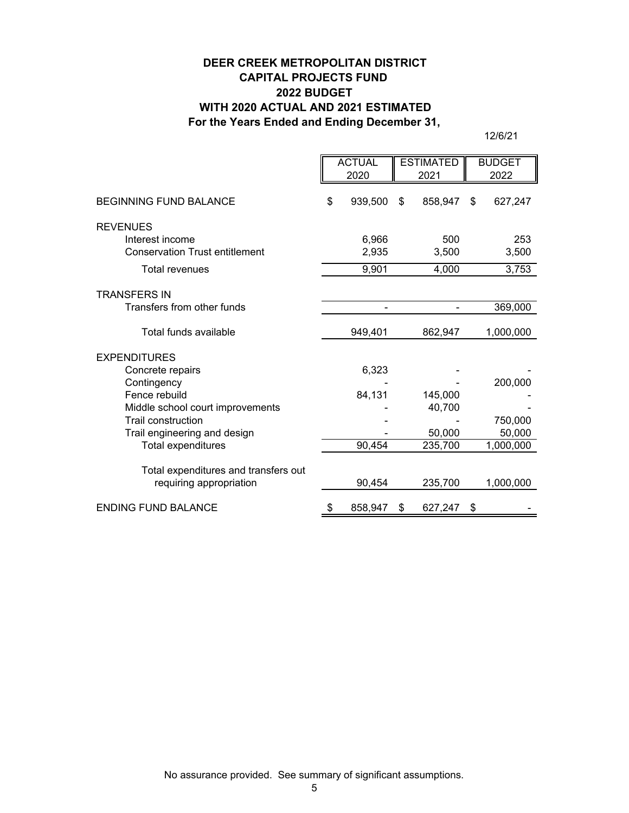# **DEER CREEK METROPOLITAN DISTRICT CAPITAL PROJECTS FUND 2022 BUDGET WITH 2020 ACTUAL AND 2021 ESTIMATED For the Years Ended and Ending December 31,**

12/6/21

|                                       | <b>ACTUAL</b><br><b>ESTIMATED</b><br>2020<br>2021 |    | <b>BUDGET</b><br>2022 |               |
|---------------------------------------|---------------------------------------------------|----|-----------------------|---------------|
| <b>BEGINNING FUND BALANCE</b>         | \$<br>939,500                                     | \$ | 858,947               | \$<br>627,247 |
| <b>REVENUES</b>                       |                                                   |    |                       |               |
| Interest income                       | 6,966                                             |    | 500                   | 253           |
| <b>Conservation Trust entitlement</b> | 2,935                                             |    | 3,500                 | 3,500         |
| <b>Total revenues</b>                 | 9,901                                             |    | 4,000                 | 3,753         |
| <b>TRANSFERS IN</b>                   |                                                   |    |                       |               |
| Transfers from other funds            |                                                   |    |                       | 369,000       |
| Total funds available                 | 949,401                                           |    | 862,947               | 1,000,000     |
| <b>EXPENDITURES</b>                   |                                                   |    |                       |               |
| Concrete repairs                      | 6,323                                             |    |                       |               |
| Contingency                           |                                                   |    |                       | 200,000       |
| Fence rebuild                         | 84,131                                            |    | 145,000               |               |
| Middle school court improvements      |                                                   |    | 40,700                |               |
| <b>Trail construction</b>             |                                                   |    |                       | 750,000       |
| Trail engineering and design          |                                                   |    | 50,000                | 50,000        |
| Total expenditures                    | 90,454                                            |    | 235,700               | 1,000,000     |
| Total expenditures and transfers out  |                                                   |    |                       |               |
| requiring appropriation               | 90,454                                            |    | 235,700               | 1,000,000     |
| <b>ENDING FUND BALANCE</b>            | 858,947                                           | \$ | 627,247               | \$            |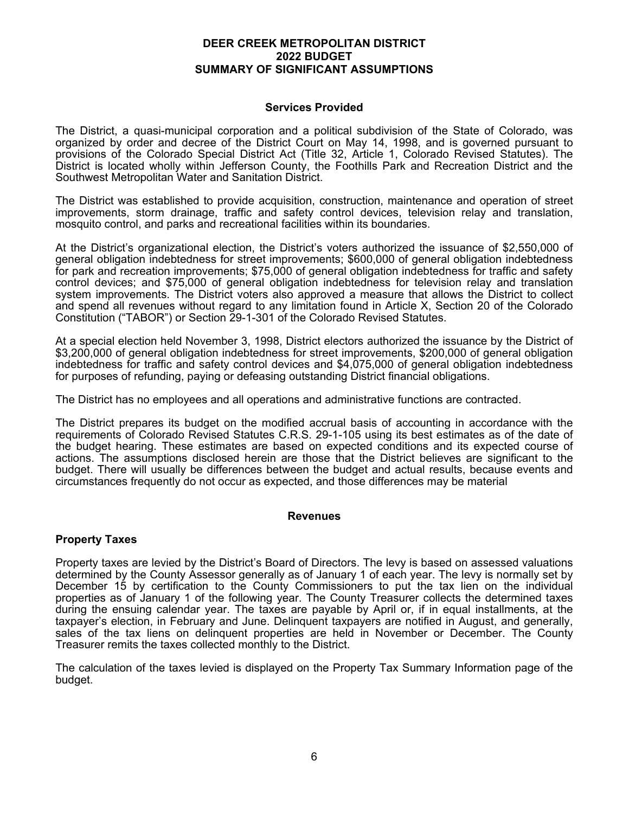# **DEER CREEK METROPOLITAN DISTRICT 2022 BUDGET SUMMARY OF SIGNIFICANT ASSUMPTIONS**

# **Services Provided**

The District, a quasi-municipal corporation and a political subdivision of the State of Colorado, was organized by order and decree of the District Court on May 14, 1998, and is governed pursuant to provisions of the Colorado Special District Act (Title 32, Article 1, Colorado Revised Statutes). The District is located wholly within Jefferson County, the Foothills Park and Recreation District and the Southwest Metropolitan Water and Sanitation District.

The District was established to provide acquisition, construction, maintenance and operation of street improvements, storm drainage, traffic and safety control devices, television relay and translation, mosquito control, and parks and recreational facilities within its boundaries.

At the District's organizational election, the District's voters authorized the issuance of \$2,550,000 of general obligation indebtedness for street improvements; \$600,000 of general obligation indebtedness for park and recreation improvements; \$75,000 of general obligation indebtedness for traffic and safety control devices; and \$75,000 of general obligation indebtedness for television relay and translation system improvements. The District voters also approved a measure that allows the District to collect and spend all revenues without regard to any limitation found in Article X, Section 20 of the Colorado Constitution ("TABOR") or Section 29-1-301 of the Colorado Revised Statutes.

At a special election held November 3, 1998, District electors authorized the issuance by the District of \$3,200,000 of general obligation indebtedness for street improvements, \$200,000 of general obligation indebtedness for traffic and safety control devices and \$4,075,000 of general obligation indebtedness for purposes of refunding, paying or defeasing outstanding District financial obligations.

The District has no employees and all operations and administrative functions are contracted.

The District prepares its budget on the modified accrual basis of accounting in accordance with the requirements of Colorado Revised Statutes C.R.S. 29-1-105 using its best estimates as of the date of the budget hearing. These estimates are based on expected conditions and its expected course of actions. The assumptions disclosed herein are those that the District believes are significant to the budget. There will usually be differences between the budget and actual results, because events and circumstances frequently do not occur as expected, and those differences may be material

#### **Revenues**

# **Property Taxes**

Property taxes are levied by the District's Board of Directors. The levy is based on assessed valuations determined by the County Assessor generally as of January 1 of each year. The levy is normally set by December 15 by certification to the County Commissioners to put the tax lien on the individual properties as of January 1 of the following year. The County Treasurer collects the determined taxes during the ensuing calendar year. The taxes are payable by April or, if in equal installments, at the taxpayer's election, in February and June. Delinquent taxpayers are notified in August, and generally, sales of the tax liens on delinquent properties are held in November or December. The County Treasurer remits the taxes collected monthly to the District.

The calculation of the taxes levied is displayed on the Property Tax Summary Information page of the budget.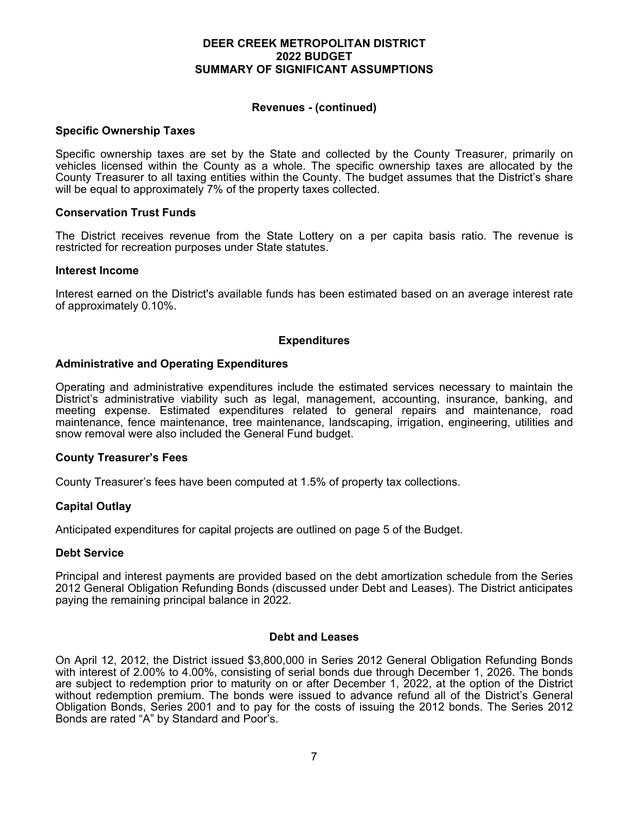### **DEER CREEK METROPOLITAN DISTRICT 2022 BUDGET SUMMARY OF SIGNIFICANT ASSUMPTIONS**

# **Revenues - (continued)**

### **Specific Ownership Taxes**

Specific ownership taxes are set by the State and collected by the County Treasurer, primarily on vehicles licensed within the County as a whole. The specific ownership taxes are allocated by the County Treasurer to all taxing entities within the County. The budget assumes that the District's share will be equal to approximately 7% of the property taxes collected.

#### **Conservation Trust Funds**

The District receives revenue from the State Lottery on a per capita basis ratio. The revenue is restricted for recreation purposes under State statutes.

#### **Interest Income**

Interest earned on the District's available funds has been estimated based on an average interest rate of approximately 0.10%.

# **Expenditures**

# **Administrative and Operating Expenditures**

Operating and administrative expenditures include the estimated services necessary to maintain the District's administrative viability such as legal, management, accounting, insurance, banking, and meeting expense. Estimated expenditures related to general repairs and maintenance, road maintenance, fence maintenance, tree maintenance, landscaping, irrigation, engineering, utilities and snow removal were also included the General Fund budget.

# **County Treasurer's Fees**

County Treasurer's fees have been computed at 1.5% of property tax collections.

# **Capital Outlay**

Anticipated expenditures for capital projects are outlined on page 5 of the Budget.

# **Debt Service**

Principal and interest payments are provided based on the debt amortization schedule from the Series 2012 General Obligation Refunding Bonds (discussed under Debt and Leases). The District anticipates paying the remaining principal balance in 2022.

#### **Debt and Leases**

On April 12, 2012, the District issued \$3,800,000 in Series 2012 General Obligation Refunding Bonds with interest of 2.00% to 4.00%, consisting of serial bonds due through December 1, 2026. The bonds are subject to redemption prior to maturity on or after December 1, 2022, at the option of the District without redemption premium. The bonds were issued to advance refund all of the District's General Obligation Bonds, Series 2001 and to pay for the costs of issuing the 2012 bonds. The Series 2012 Bonds are rated "A" by Standard and Poor's.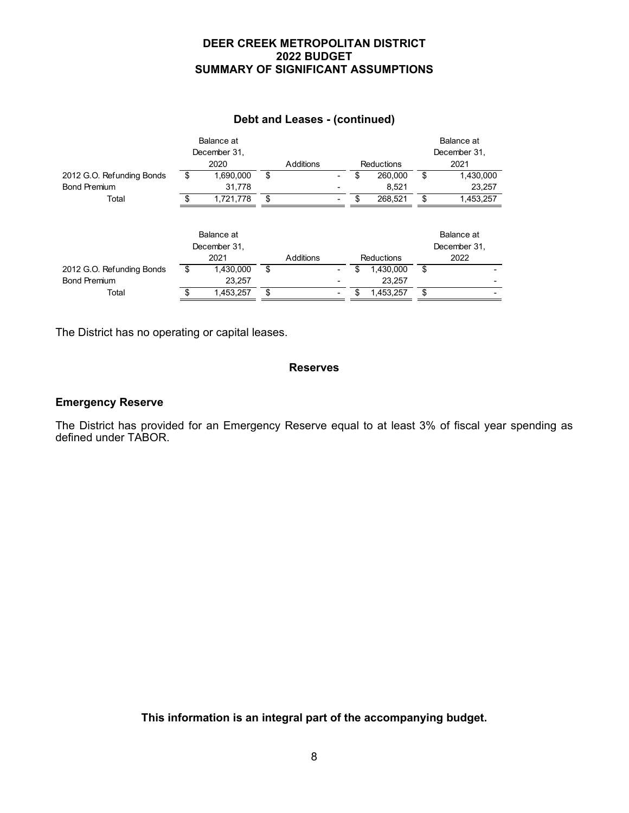# **DEER CREEK METROPOLITAN DISTRICT 2022 BUDGET SUMMARY OF SIGNIFICANT ASSUMPTIONS**

|                           |    | Balance at<br>December 31,<br>2020 |    | Additions        |    | <b>Reductions</b> | Balance at<br>December 31,<br>2021 |
|---------------------------|----|------------------------------------|----|------------------|----|-------------------|------------------------------------|
| 2012 G.O. Refunding Bonds | \$ | 1,690,000                          | \$ |                  | \$ | 260,000           | \$<br>1,430,000                    |
| <b>Bond Premium</b>       |    | 31,778                             |    |                  |    | 8,521             | 23,257                             |
| Total                     |    | 1.721.778                          | S  |                  | \$ | 268.521           | \$<br>1,453,257                    |
|                           |    | Balance at<br>December 31,<br>2021 |    | <b>Additions</b> |    | <b>Reductions</b> | Balance at<br>December 31,<br>2022 |
| 2012 G.O. Refunding Bonds | \$ | 1,430,000                          | \$ |                  | S  | 1,430,000         | \$                                 |
| <b>Bond Premium</b>       |    | 23,257                             |    |                  |    | 23,257            |                                    |
| Total                     | ደ  | 1,453,257                          | \$ |                  | \$ | 1,453,257         | \$                                 |

### **Debt and Leases - (continued)**

The District has no operating or capital leases.

# **Reserves**

# **Emergency Reserve**

The District has provided for an Emergency Reserve equal to at least 3% of fiscal year spending as defined under TABOR.

**This information is an integral part of the accompanying budget.**